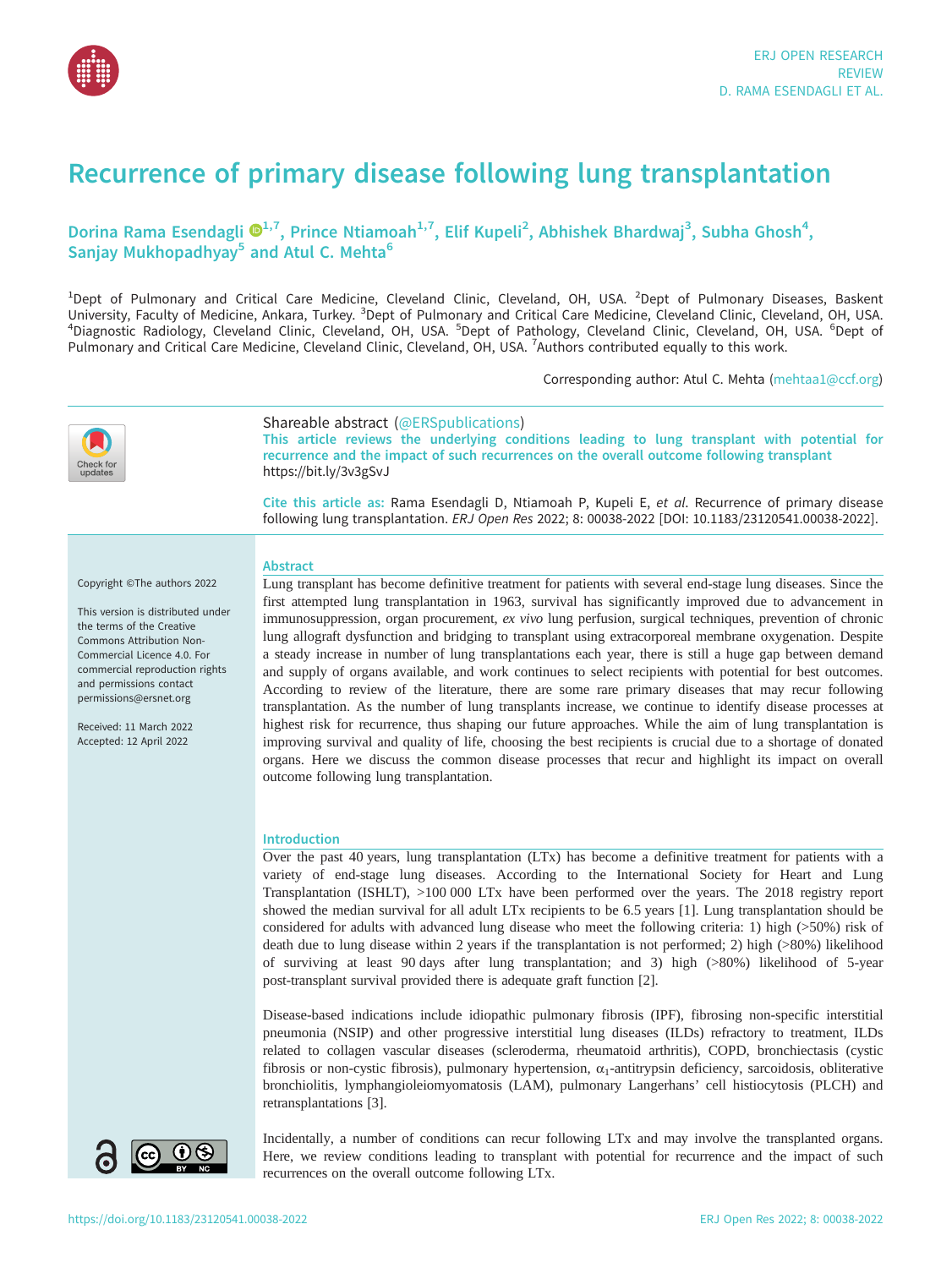

# Recurrence of primary disease following lung transplantation

# Dorina Rama Esendagli  $\mathbf{\Theta}^{1,7}$ , Prince Ntiamoah<sup>1,7</sup>, Elif Kupeli<sup>2</sup>, Abhishek Bhardwaj<sup>3</sup>, Subha Ghosh<sup>4</sup>, Sanjay Mukhopadhyay<sup>5</sup> and Atul C. Mehta<sup>6</sup>

<sup>1</sup>Dept of Pulmonary and Critical Care Medicine, Cleveland Clinic, Cleveland, OH, USA. <sup>2</sup>Dept of Pulmonary Diseases, Baskent University, Faculty of Medicine, Ankara, Turkey. <sup>3</sup>Dept of Pulmonary and Critical Care Medicine, Cleveland Clinic, Cleveland, OH, USA. <sup>6</sup>Dent of <sup>4</sup>Diagnostic Padiology, Cleveland, OH, USA. <sup>6</sup>Dent of Diagnostic Radiology, Cleveland Clinic, Cleveland, OH, USA. <sup>5</sup>Dept of Pathology, Cleveland Clinic, Cleveland, OH, USA. <sup>6</sup>Dept of Pulmonary and Critical Care Medicine, Cleveland Clinic, Cleveland, OH, USA. <sup>7</sup>Authors contributed equally to this work.

Corresponding author: Atul C. Mehta [\(mehtaa1@ccf.org](mailto:mehtaa1@ccf.org))



# Shareable abstract (@ERSpublications)

This article reviews the underlying conditions leading to lung transplant with potential for recurrence and the impact of such recurrences on the overall outcome following transplant <https://bit.ly/3v3gSvJ>

Cite this article as: Rama Esendagli D, Ntiamoah P, Kupeli E, et al. Recurrence of primary disease following lung transplantation. ERJ Open Res 2022; 8: 00038-2022 [\[DOI: 10.1183/23120541.00038-2022\].](https://doi.org/10.1183/23120541.00038-2022)

### Abstract

Copyright ©The authors 2022

This version is distributed under the terms of the Creative Commons Attribution Non-Commercial Licence 4.0. For commercial reproduction rights and permissions contact [permissions@ersnet.org](mailto:permissions@ersnet.org)

Received: 11 March 2022 Accepted: 12 April 2022

Lung transplant has become definitive treatment for patients with several end-stage lung diseases. Since the first attempted lung transplantation in 1963, survival has significantly improved due to advancement in immunosuppression, organ procurement, ex vivo lung perfusion, surgical techniques, prevention of chronic lung allograft dysfunction and bridging to transplant using extracorporeal membrane oxygenation. Despite a steady increase in number of lung transplantations each year, there is still a huge gap between demand and supply of organs available, and work continues to select recipients with potential for best outcomes. According to review of the literature, there are some rare primary diseases that may recur following transplantation. As the number of lung transplants increase, we continue to identify disease processes at highest risk for recurrence, thus shaping our future approaches. While the aim of lung transplantation is improving survival and quality of life, choosing the best recipients is crucial due to a shortage of donated organs. Here we discuss the common disease processes that recur and highlight its impact on overall outcome following lung transplantation.

# Introduction

Over the past 40 years, lung transplantation (LTx) has become a definitive treatment for patients with a variety of end-stage lung diseases. According to the International Society for Heart and Lung Transplantation (ISHLT), >100 000 LTx have been performed over the years. The 2018 registry report showed the median survival for all adult LTx recipients to be 6.5 years [[1](#page-8-0)]. Lung transplantation should be considered for adults with advanced lung disease who meet the following criteria: 1) high (>50%) risk of death due to lung disease within 2 years if the transplantation is not performed; 2) high (>80%) likelihood of surviving at least 90 days after lung transplantation; and 3) high (>80%) likelihood of 5-year post-transplant survival provided there is adequate graft function [\[2\]](#page-8-0).

Disease-based indications include idiopathic pulmonary fibrosis (IPF), fibrosing non-specific interstitial pneumonia (NSIP) and other progressive interstitial lung diseases (ILDs) refractory to treatment, ILDs related to collagen vascular diseases (scleroderma, rheumatoid arthritis), COPD, bronchiectasis (cystic fibrosis or non-cystic fibrosis), pulmonary hypertension,  $\alpha_1$ -antitrypsin deficiency, sarcoidosis, obliterative bronchiolitis, lymphangioleiomyomatosis (LAM), pulmonary Langerhans' cell histiocytosis (PLCH) and retransplantations [[3](#page-8-0)].



Incidentally, a number of conditions can recur following LTx and may involve the transplanted organs. Here, we review conditions leading to transplant with potential for recurrence and the impact of such recurrences on the overall outcome following LTx.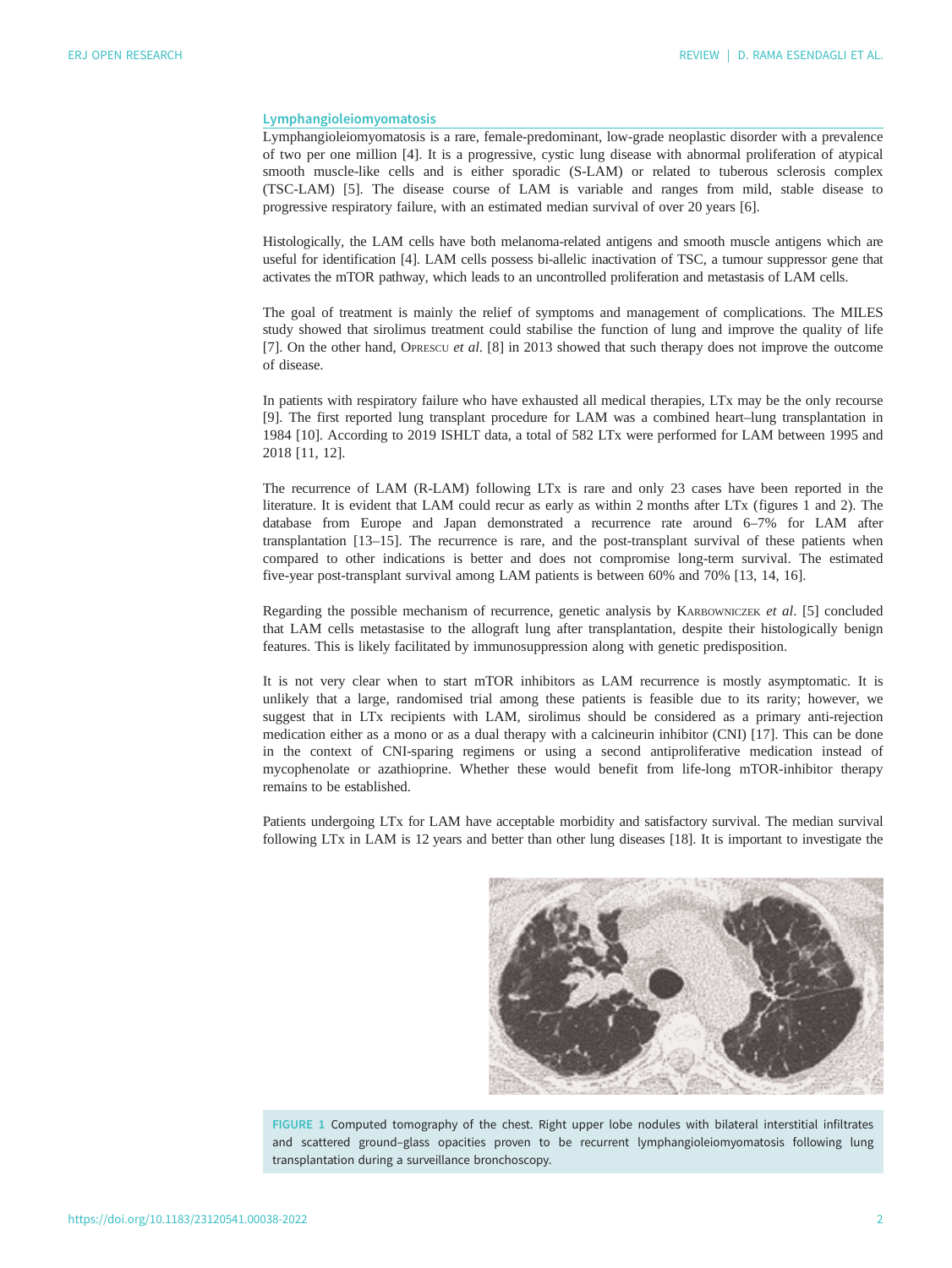#### Lymphangioleiomyomatosis

Lymphangioleiomyomatosis is a rare, female-predominant, low-grade neoplastic disorder with a prevalence of two per one million [[4](#page-8-0)]. It is a progressive, cystic lung disease with abnormal proliferation of atypical smooth muscle-like cells and is either sporadic (S-LAM) or related to tuberous sclerosis complex (TSC-LAM) [[5](#page-8-0)]. The disease course of LAM is variable and ranges from mild, stable disease to progressive respiratory failure, with an estimated median survival of over 20 years [[6](#page-8-0)].

Histologically, the LAM cells have both melanoma-related antigens and smooth muscle antigens which are useful for identification [[4](#page-8-0)]. LAM cells possess bi-allelic inactivation of TSC, a tumour suppressor gene that activates the mTOR pathway, which leads to an uncontrolled proliferation and metastasis of LAM cells.

The goal of treatment is mainly the relief of symptoms and management of complications. The MILES study showed that sirolimus treatment could stabilise the function of lung and improve the quality of life [\[7\]](#page-8-0). On the other hand, OPRESCU et al. [[8](#page-8-0)] in 2013 showed that such therapy does not improve the outcome of disease.

In patients with respiratory failure who have exhausted all medical therapies, LTx may be the only recourse [\[9\]](#page-8-0). The first reported lung transplant procedure for LAM was a combined heart–lung transplantation in 1984 [\[10](#page-8-0)]. According to 2019 ISHLT data, a total of 582 LTx were performed for LAM between 1995 and 2018 [\[11](#page-8-0), [12](#page-8-0)].

The recurrence of LAM (R-LAM) following LTx is rare and only 23 cases have been reported in the literature. It is evident that LAM could recur as early as within 2 months after LTx (figures 1 and [2\)](#page-2-0). The database from Europe and Japan demonstrated a recurrence rate around 6–7% for LAM after transplantation [\[13](#page-8-0)–[15\]](#page-9-0). The recurrence is rare, and the post-transplant survival of these patients when compared to other indications is better and does not compromise long-term survival. The estimated five-year post-transplant survival among LAM patients is between 60% and 70% [[13, 14](#page-8-0), [16](#page-9-0)].

Regarding the possible mechanism of recurrence, genetic analysis by KARBOWNICZEK et al. [\[5\]](#page-8-0) concluded that LAM cells metastasise to the allograft lung after transplantation, despite their histologically benign features. This is likely facilitated by immunosuppression along with genetic predisposition.

It is not very clear when to start mTOR inhibitors as LAM recurrence is mostly asymptomatic. It is unlikely that a large, randomised trial among these patients is feasible due to its rarity; however, we suggest that in LTx recipients with LAM, sirolimus should be considered as a primary anti-rejection medication either as a mono or as a dual therapy with a calcineurin inhibitor (CNI) [\[17](#page-9-0)]. This can be done in the context of CNI-sparing regimens or using a second antiproliferative medication instead of mycophenolate or azathioprine. Whether these would benefit from life-long mTOR-inhibitor therapy remains to be established.

Patients undergoing LTx for LAM have acceptable morbidity and satisfactory survival. The median survival following LTx in LAM is 12 years and better than other lung diseases [[18\]](#page-9-0). It is important to investigate the



FIGURE 1 Computed tomography of the chest. Right upper lobe nodules with bilateral interstitial infiltrates and scattered ground–glass opacities proven to be recurrent lymphangioleiomyomatosis following lung transplantation during a surveillance bronchoscopy.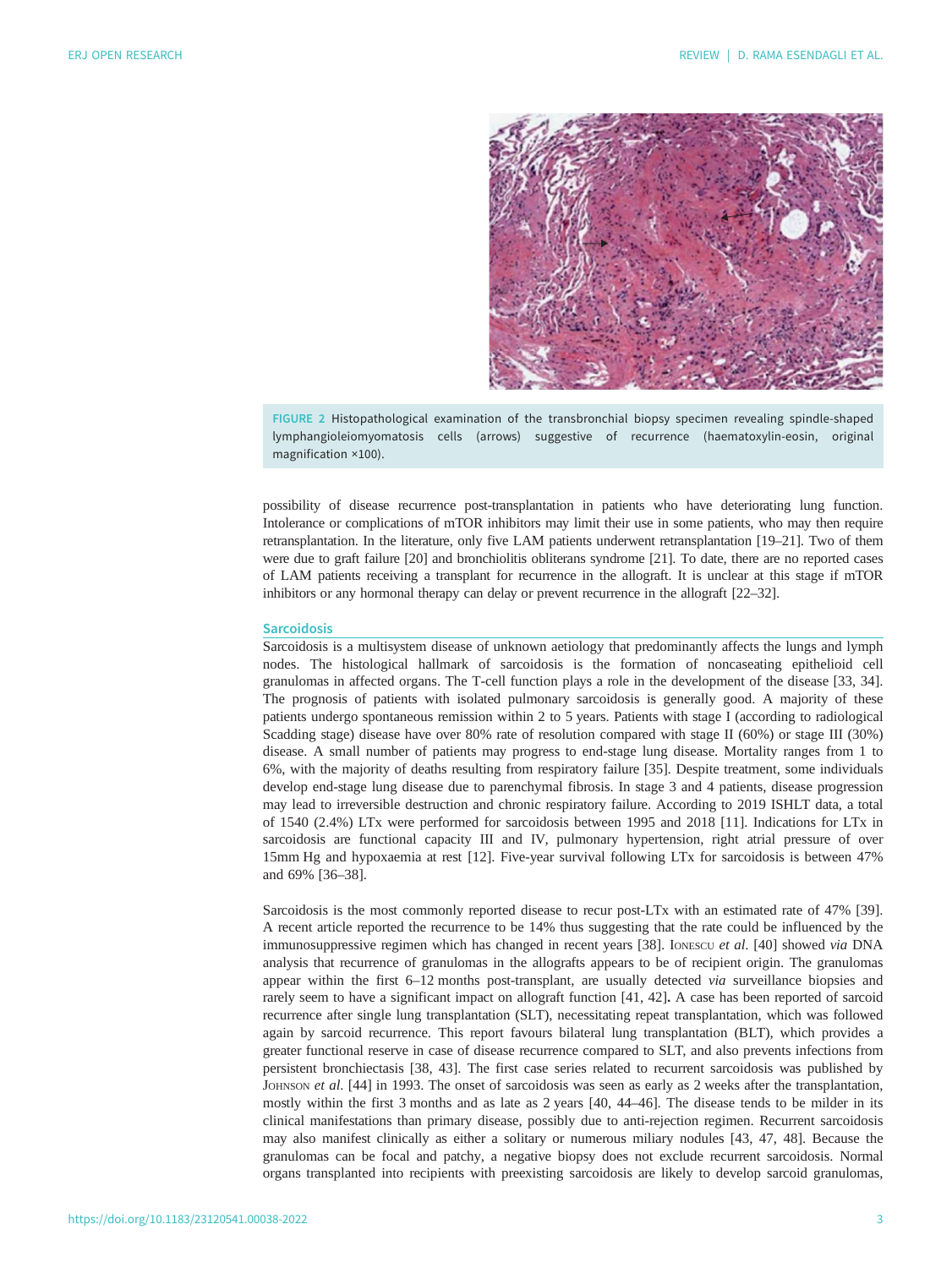<span id="page-2-0"></span>

FIGURE 2 Histopathological examination of the transbronchial biopsy specimen revealing spindle-shaped lymphangioleiomyomatosis cells (arrows) suggestive of recurrence (haematoxylin-eosin, original magnification ×100).

possibility of disease recurrence post-transplantation in patients who have deteriorating lung function. Intolerance or complications of mTOR inhibitors may limit their use in some patients, who may then require retransplantation. In the literature, only five LAM patients underwent retransplantation [\[19](#page-9-0)–[21](#page-9-0)]. Two of them were due to graft failure [[20\]](#page-9-0) and bronchiolitis obliterans syndrome [\[21](#page-9-0)]. To date, there are no reported cases of LAM patients receiving a transplant for recurrence in the allograft. It is unclear at this stage if mTOR inhibitors or any hormonal therapy can delay or prevent recurrence in the allograft [[22](#page-9-0)–[32\]](#page-9-0).

#### **Sarcoidosis**

Sarcoidosis is a multisystem disease of unknown aetiology that predominantly affects the lungs and lymph nodes. The histological hallmark of sarcoidosis is the formation of noncaseating epithelioid cell granulomas in affected organs. The T-cell function plays a role in the development of the disease [\[33](#page-9-0), [34\]](#page-9-0). The prognosis of patients with isolated pulmonary sarcoidosis is generally good. A majority of these patients undergo spontaneous remission within 2 to 5 years. Patients with stage I (according to radiological Scadding stage) disease have over 80% rate of resolution compared with stage II (60%) or stage III (30%) disease. A small number of patients may progress to end-stage lung disease. Mortality ranges from 1 to 6%, with the majority of deaths resulting from respiratory failure [[35\]](#page-9-0). Despite treatment, some individuals develop end-stage lung disease due to parenchymal fibrosis. In stage 3 and 4 patients, disease progression may lead to irreversible destruction and chronic respiratory failure. According to 2019 ISHLT data, a total of 1540 (2.4%) LTx were performed for sarcoidosis between 1995 and 2018 [[11\]](#page-8-0). Indications for LTx in sarcoidosis are functional capacity III and IV, pulmonary hypertension, right atrial pressure of over 15mm Hg and hypoxaemia at rest [[12\]](#page-8-0). Five-year survival following LTx for sarcoidosis is between 47% and 69% [\[36](#page-9-0)–[38\]](#page-9-0).

Sarcoidosis is the most commonly reported disease to recur post-LTx with an estimated rate of 47% [[39\]](#page-9-0). A recent article reported the recurrence to be 14% thus suggesting that the rate could be influenced by the immunosuppressive regimen which has changed in recent years [[38\]](#page-9-0). IONESCU et al. [[40\]](#page-9-0) showed via DNA analysis that recurrence of granulomas in the allografts appears to be of recipient origin. The granulomas appear within the first 6–12 months post-transplant, are usually detected via surveillance biopsies and rarely seem to have a significant impact on allograft function [[41, 42\]](#page-9-0). A case has been reported of sarcoid recurrence after single lung transplantation (SLT), necessitating repeat transplantation, which was followed again by sarcoid recurrence. This report favours bilateral lung transplantation (BLT), which provides a greater functional reserve in case of disease recurrence compared to SLT, and also prevents infections from persistent bronchiectasis [[38](#page-9-0), [43\]](#page-10-0). The first case series related to recurrent sarcoidosis was published by JOHNSON et al. [[44\]](#page-10-0) in 1993. The onset of sarcoidosis was seen as early as 2 weeks after the transplantation, mostly within the first 3 months and as late as 2 years [[40,](#page-9-0) [44](#page-10-0)–[46\]](#page-10-0). The disease tends to be milder in its clinical manifestations than primary disease, possibly due to anti-rejection regimen. Recurrent sarcoidosis may also manifest clinically as either a solitary or numerous miliary nodules [\[43](#page-10-0), [47](#page-10-0), [48](#page-10-0)]. Because the granulomas can be focal and patchy, a negative biopsy does not exclude recurrent sarcoidosis. Normal organs transplanted into recipients with preexisting sarcoidosis are likely to develop sarcoid granulomas,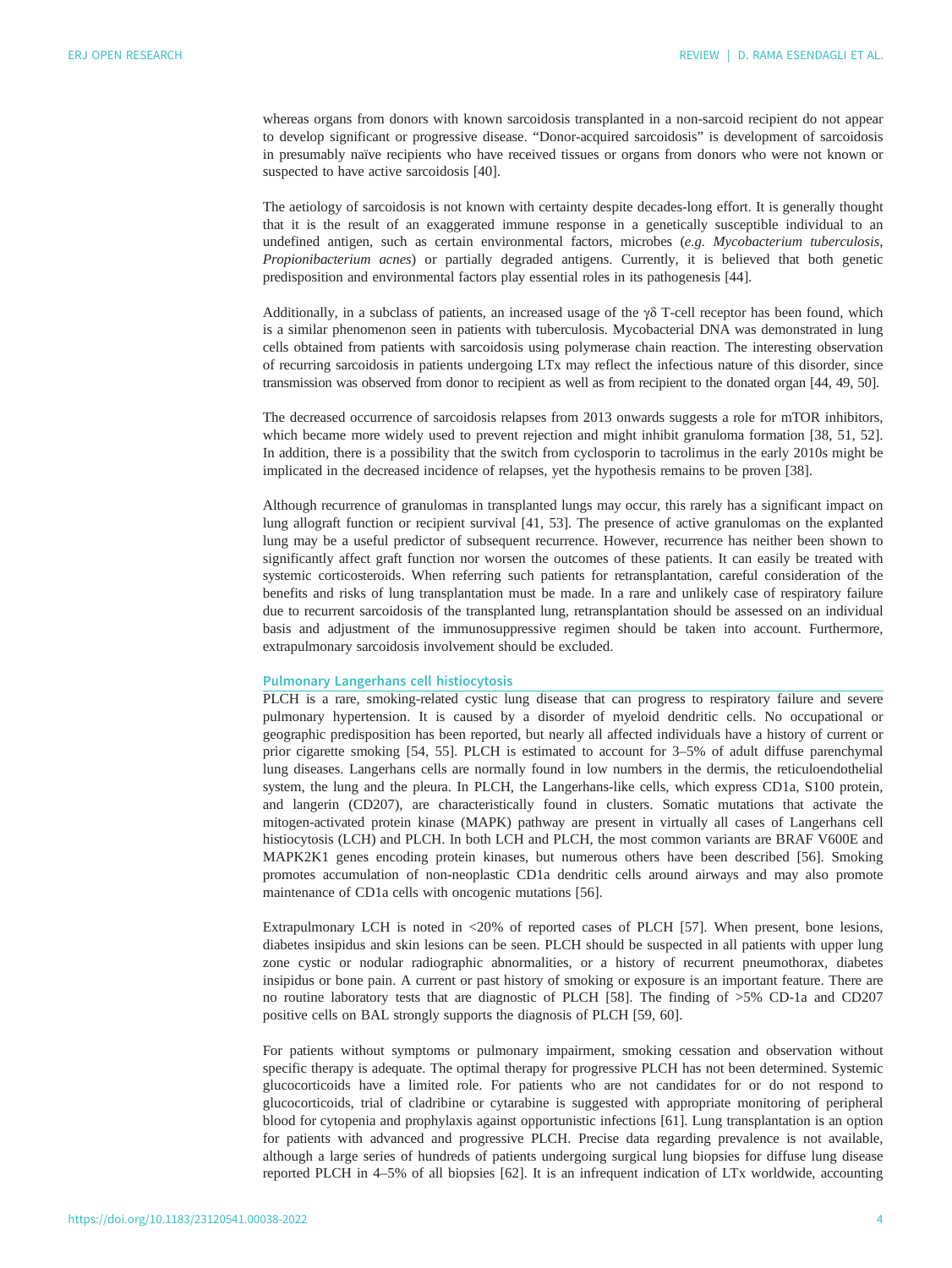whereas organs from donors with known sarcoidosis transplanted in a non-sarcoid recipient do not appear to develop significant or progressive disease. "Donor-acquired sarcoidosis" is development of sarcoidosis in presumably naïve recipients who have received tissues or organs from donors who were not known or suspected to have active sarcoidosis [\[40](#page-9-0)].

The aetiology of sarcoidosis is not known with certainty despite decades-long effort. It is generally thought that it is the result of an exaggerated immune response in a genetically susceptible individual to an undefined antigen, such as certain environmental factors, microbes (e.g. Mycobacterium tuberculosis, Propionibacterium acnes) or partially degraded antigens. Currently, it is believed that both genetic predisposition and environmental factors play essential roles in its pathogenesis [\[44](#page-10-0)].

Additionally, in a subclass of patients, an increased usage of the  $\gamma\delta$  T-cell receptor has been found, which is a similar phenomenon seen in patients with tuberculosis. Mycobacterial DNA was demonstrated in lung cells obtained from patients with sarcoidosis using polymerase chain reaction. The interesting observation of recurring sarcoidosis in patients undergoing LTx may reflect the infectious nature of this disorder, since transmission was observed from donor to recipient as well as from recipient to the donated organ [[44](#page-10-0), [49, 50](#page-10-0)].

The decreased occurrence of sarcoidosis relapses from 2013 onwards suggests a role for mTOR inhibitors, which became more widely used to prevent rejection and might inhibit granuloma formation [[38,](#page-9-0) [51](#page-10-0), [52\]](#page-10-0). In addition, there is a possibility that the switch from cyclosporin to tacrolimus in the early 2010s might be implicated in the decreased incidence of relapses, yet the hypothesis remains to be proven [\[38](#page-9-0)].

Although recurrence of granulomas in transplanted lungs may occur, this rarely has a significant impact on lung allograft function or recipient survival [\[41](#page-9-0), [53\]](#page-10-0). The presence of active granulomas on the explanted lung may be a useful predictor of subsequent recurrence. However, recurrence has neither been shown to significantly affect graft function nor worsen the outcomes of these patients. It can easily be treated with systemic corticosteroids. When referring such patients for retransplantation, careful consideration of the benefits and risks of lung transplantation must be made. In a rare and unlikely case of respiratory failure due to recurrent sarcoidosis of the transplanted lung, retransplantation should be assessed on an individual basis and adjustment of the immunosuppressive regimen should be taken into account. Furthermore, extrapulmonary sarcoidosis involvement should be excluded.

#### Pulmonary Langerhans cell histiocytosis

PLCH is a rare, smoking-related cystic lung disease that can progress to respiratory failure and severe pulmonary hypertension. It is caused by a disorder of myeloid dendritic cells. No occupational or geographic predisposition has been reported, but nearly all affected individuals have a history of current or prior cigarette smoking [\[54](#page-10-0), [55](#page-10-0)]. PLCH is estimated to account for 3–5% of adult diffuse parenchymal lung diseases. Langerhans cells are normally found in low numbers in the dermis, the reticuloendothelial system, the lung and the pleura. In PLCH, the Langerhans-like cells, which express CD1a, S100 protein, and langerin (CD207), are characteristically found in clusters. Somatic mutations that activate the mitogen-activated protein kinase (MAPK) pathway are present in virtually all cases of Langerhans cell histiocytosis (LCH) and PLCH. In both LCH and PLCH, the most common variants are BRAF V600E and MAPK2K1 genes encoding protein kinases, but numerous others have been described [[56\]](#page-10-0). Smoking promotes accumulation of non-neoplastic CD1a dendritic cells around airways and may also promote maintenance of CD1a cells with oncogenic mutations [\[56](#page-10-0)].

Extrapulmonary LCH is noted in <20% of reported cases of PLCH [[57\]](#page-10-0). When present, bone lesions, diabetes insipidus and skin lesions can be seen. PLCH should be suspected in all patients with upper lung zone cystic or nodular radiographic abnormalities, or a history of recurrent pneumothorax, diabetes insipidus or bone pain. A current or past history of smoking or exposure is an important feature. There are no routine laboratory tests that are diagnostic of PLCH [[58\]](#page-10-0). The finding of >5% CD-1a and CD207 positive cells on BAL strongly supports the diagnosis of PLCH [\[59](#page-10-0), [60](#page-10-0)].

For patients without symptoms or pulmonary impairment, smoking cessation and observation without specific therapy is adequate. The optimal therapy for progressive PLCH has not been determined. Systemic glucocorticoids have a limited role. For patients who are not candidates for or do not respond to glucocorticoids, trial of cladribine or cytarabine is suggested with appropriate monitoring of peripheral blood for cytopenia and prophylaxis against opportunistic infections [\[61](#page-10-0)]. Lung transplantation is an option for patients with advanced and progressive PLCH. Precise data regarding prevalence is not available, although a large series of hundreds of patients undergoing surgical lung biopsies for diffuse lung disease reported PLCH in 4–5% of all biopsies [[62\]](#page-10-0). It is an infrequent indication of LTx worldwide, accounting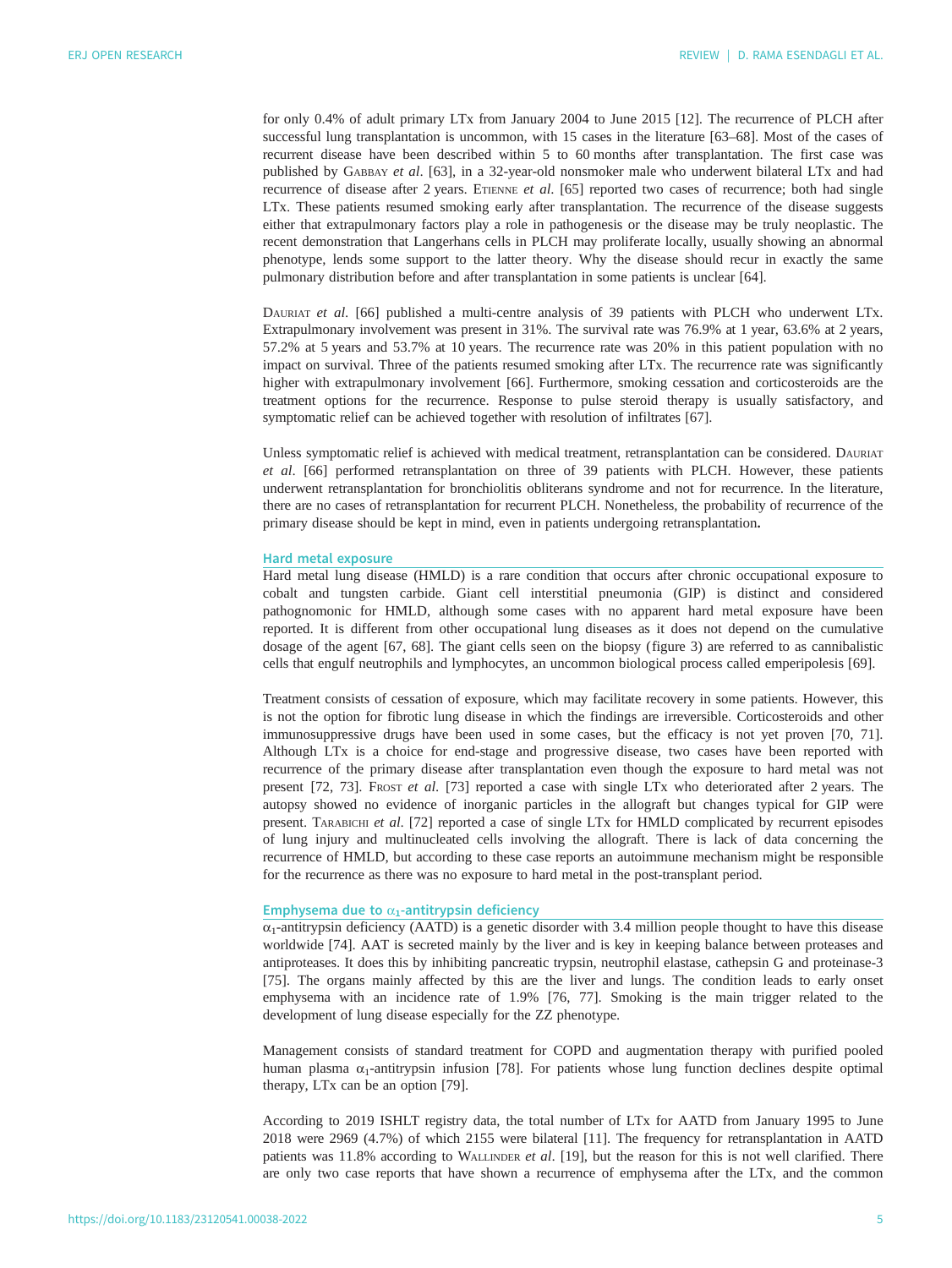for only 0.4% of adult primary LTx from January 2004 to June 2015 [[12\]](#page-8-0). The recurrence of PLCH after successful lung transplantation is uncommon, with 15 cases in the literature [\[63](#page-10-0)–[68\]](#page-10-0). Most of the cases of recurrent disease have been described within 5 to 60 months after transplantation. The first case was published by GABBAY et al. [\[63](#page-10-0)], in a 32-year-old nonsmoker male who underwent bilateral LTx and had recurrence of disease after 2 years. ETIENNE et al. [\[65](#page-10-0)] reported two cases of recurrence; both had single LTx. These patients resumed smoking early after transplantation. The recurrence of the disease suggests either that extrapulmonary factors play a role in pathogenesis or the disease may be truly neoplastic. The recent demonstration that Langerhans cells in PLCH may proliferate locally, usually showing an abnormal phenotype, lends some support to the latter theory. Why the disease should recur in exactly the same pulmonary distribution before and after transplantation in some patients is unclear [[64\]](#page-10-0).

DAURIAT et al. [\[66](#page-10-0)] published a multi-centre analysis of 39 patients with PLCH who underwent LTx. Extrapulmonary involvement was present in 31%. The survival rate was 76.9% at 1 year, 63.6% at 2 years, 57.2% at 5 years and 53.7% at 10 years. The recurrence rate was 20% in this patient population with no impact on survival. Three of the patients resumed smoking after LTx. The recurrence rate was significantly higher with extrapulmonary involvement [[66\]](#page-10-0). Furthermore, smoking cessation and corticosteroids are the treatment options for the recurrence. Response to pulse steroid therapy is usually satisfactory, and symptomatic relief can be achieved together with resolution of infiltrates [[67\]](#page-10-0).

Unless symptomatic relief is achieved with medical treatment, retransplantation can be considered. DAURIAT et al. [\[66](#page-10-0)] performed retransplantation on three of 39 patients with PLCH. However, these patients underwent retransplantation for bronchiolitis obliterans syndrome and not for recurrence. In the literature, there are no cases of retransplantation for recurrent PLCH. Nonetheless, the probability of recurrence of the primary disease should be kept in mind, even in patients undergoing retransplantation.

# Hard metal exposure

Hard metal lung disease (HMLD) is a rare condition that occurs after chronic occupational exposure to cobalt and tungsten carbide. Giant cell interstitial pneumonia (GIP) is distinct and considered pathognomonic for HMLD, although some cases with no apparent hard metal exposure have been reported. It is different from other occupational lung diseases as it does not depend on the cumulative dosage of the agent [\[67](#page-10-0), [68\]](#page-10-0). The giant cells seen on the biopsy [\(figure 3\)](#page-5-0) are referred to as cannibalistic cells that engulf neutrophils and lymphocytes, an uncommon biological process called emperipolesis [[69\]](#page-10-0).

Treatment consists of cessation of exposure, which may facilitate recovery in some patients. However, this is not the option for fibrotic lung disease in which the findings are irreversible. Corticosteroids and other immunosuppressive drugs have been used in some cases, but the efficacy is not yet proven [\[70, 71\]](#page-10-0). Although LTx is a choice for end-stage and progressive disease, two cases have been reported with recurrence of the primary disease after transplantation even though the exposure to hard metal was not present [\[72](#page-10-0), [73\]](#page-11-0). FROST et al. [[73\]](#page-11-0) reported a case with single LTx who deteriorated after 2 years. The autopsy showed no evidence of inorganic particles in the allograft but changes typical for GIP were present. TARABICHI et al. [[72\]](#page-10-0) reported a case of single LTx for HMLD complicated by recurrent episodes of lung injury and multinucleated cells involving the allograft. There is lack of data concerning the recurrence of HMLD, but according to these case reports an autoimmune mechanism might be responsible for the recurrence as there was no exposure to hard metal in the post-transplant period.

# Emphysema due to  $\alpha_1$ -antitrypsin deficiency

 $\alpha_1$ -antitrypsin deficiency (AATD) is a genetic disorder with 3.4 million people thought to have this disease worldwide [[74\]](#page-11-0). AAT is secreted mainly by the liver and is key in keeping balance between proteases and antiproteases. It does this by inhibiting pancreatic trypsin, neutrophil elastase, cathepsin G and proteinase-3 [\[75](#page-11-0)]. The organs mainly affected by this are the liver and lungs. The condition leads to early onset emphysema with an incidence rate of 1.9% [[76, 77](#page-11-0)]. Smoking is the main trigger related to the development of lung disease especially for the ZZ phenotype.

Management consists of standard treatment for COPD and augmentation therapy with purified pooled human plasma  $\alpha_1$ -antitrypsin infusion [\[78](#page-11-0)]. For patients whose lung function declines despite optimal therapy, LTx can be an option [\[79](#page-11-0)].

According to 2019 ISHLT registry data, the total number of LTx for AATD from January 1995 to June 2018 were 2969 (4.7%) of which 2155 were bilateral [\[11](#page-8-0)]. The frequency for retransplantation in AATD patients was 11.8% according to WALLINDER et al. [[19\]](#page-9-0), but the reason for this is not well clarified. There are only two case reports that have shown a recurrence of emphysema after the LTx, and the common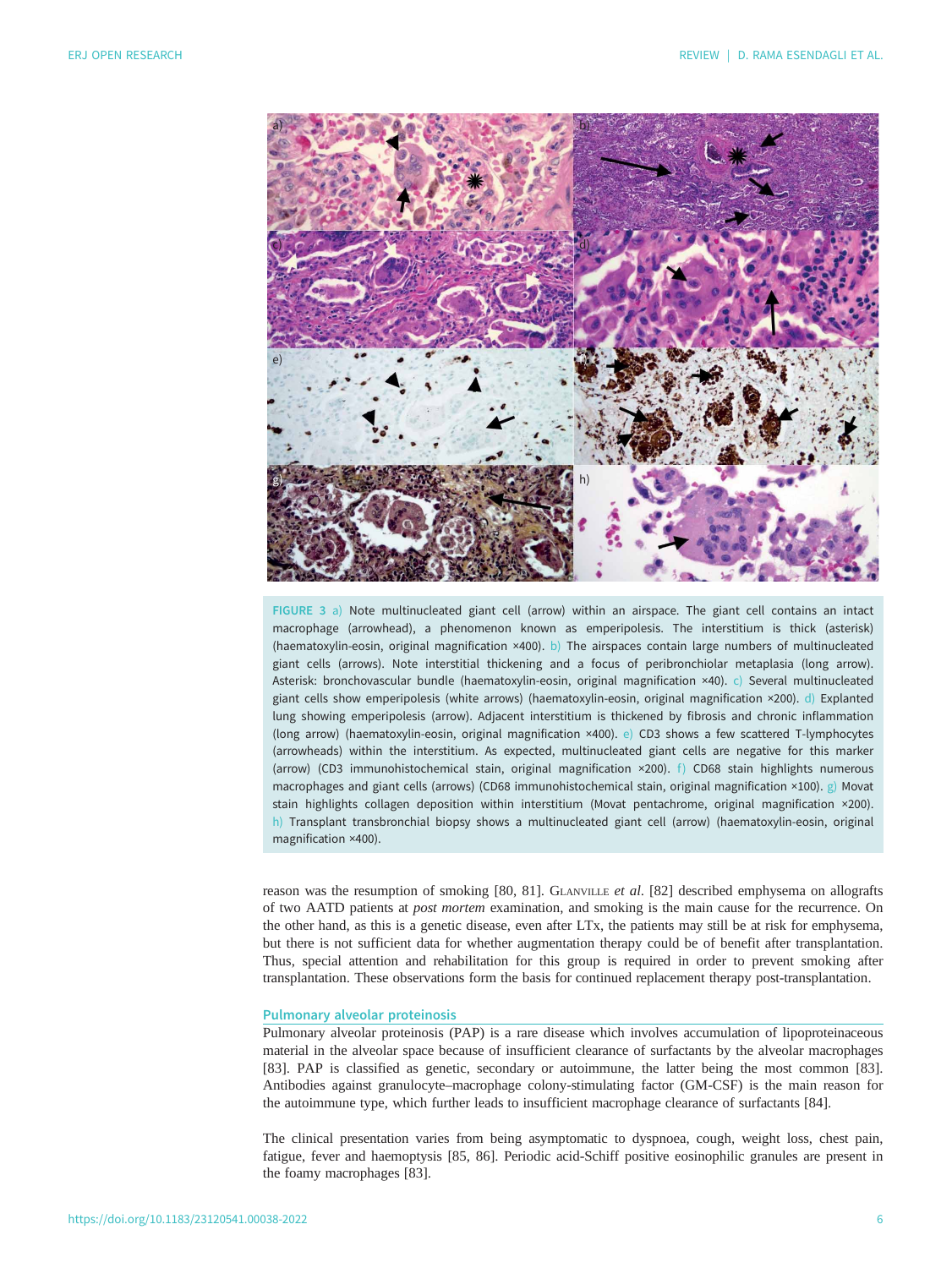<span id="page-5-0"></span>

FIGURE 3 a) Note multinucleated giant cell (arrow) within an airspace. The giant cell contains an intact macrophage (arrowhead), a phenomenon known as emperipolesis. The interstitium is thick (asterisk) (haematoxylin-eosin, original magnification ×400). b) The airspaces contain large numbers of multinucleated giant cells (arrows). Note interstitial thickening and a focus of peribronchiolar metaplasia (long arrow). Asterisk: bronchovascular bundle (haematoxylin-eosin, original magnification ×40). c) Several multinucleated giant cells show emperipolesis (white arrows) (haematoxylin-eosin, original magnification ×200). d) Explanted lung showing emperipolesis (arrow). Adjacent interstitium is thickened by fibrosis and chronic inflammation (long arrow) (haematoxylin-eosin, original magnification ×400). e) CD3 shows a few scattered T-lymphocytes (arrowheads) within the interstitium. As expected, multinucleated giant cells are negative for this marker (arrow) (CD3 immunohistochemical stain, original magnification  $\times$ 200). f) CD68 stain highlights numerous macrophages and giant cells (arrows) (CD68 immunohistochemical stain, original magnification ×100). g) Movat stain highlights collagen deposition within interstitium (Movat pentachrome, original magnification ×200). h) Transplant transbronchial biopsy shows a multinucleated giant cell (arrow) (haematoxylin-eosin, original magnification ×400).

reason was the resumption of smoking [\[80](#page-11-0), [81\]](#page-11-0). GLANVILLE et al. [\[82](#page-11-0)] described emphysema on allografts of two AATD patients at post mortem examination, and smoking is the main cause for the recurrence. On the other hand, as this is a genetic disease, even after LTx, the patients may still be at risk for emphysema, but there is not sufficient data for whether augmentation therapy could be of benefit after transplantation. Thus, special attention and rehabilitation for this group is required in order to prevent smoking after transplantation. These observations form the basis for continued replacement therapy post-transplantation.

## Pulmonary alveolar proteinosis

Pulmonary alveolar proteinosis (PAP) is a rare disease which involves accumulation of lipoproteinaceous material in the alveolar space because of insufficient clearance of surfactants by the alveolar macrophages [\[83](#page-11-0)]. PAP is classified as genetic, secondary or autoimmune, the latter being the most common [[83\]](#page-11-0). Antibodies against granulocyte–macrophage colony-stimulating factor (GM-CSF) is the main reason for the autoimmune type, which further leads to insufficient macrophage clearance of surfactants [\[84](#page-11-0)].

The clinical presentation varies from being asymptomatic to dyspnoea, cough, weight loss, chest pain, fatigue, fever and haemoptysis [\[85](#page-11-0), [86\]](#page-11-0). Periodic acid-Schiff positive eosinophilic granules are present in the foamy macrophages [[83\]](#page-11-0).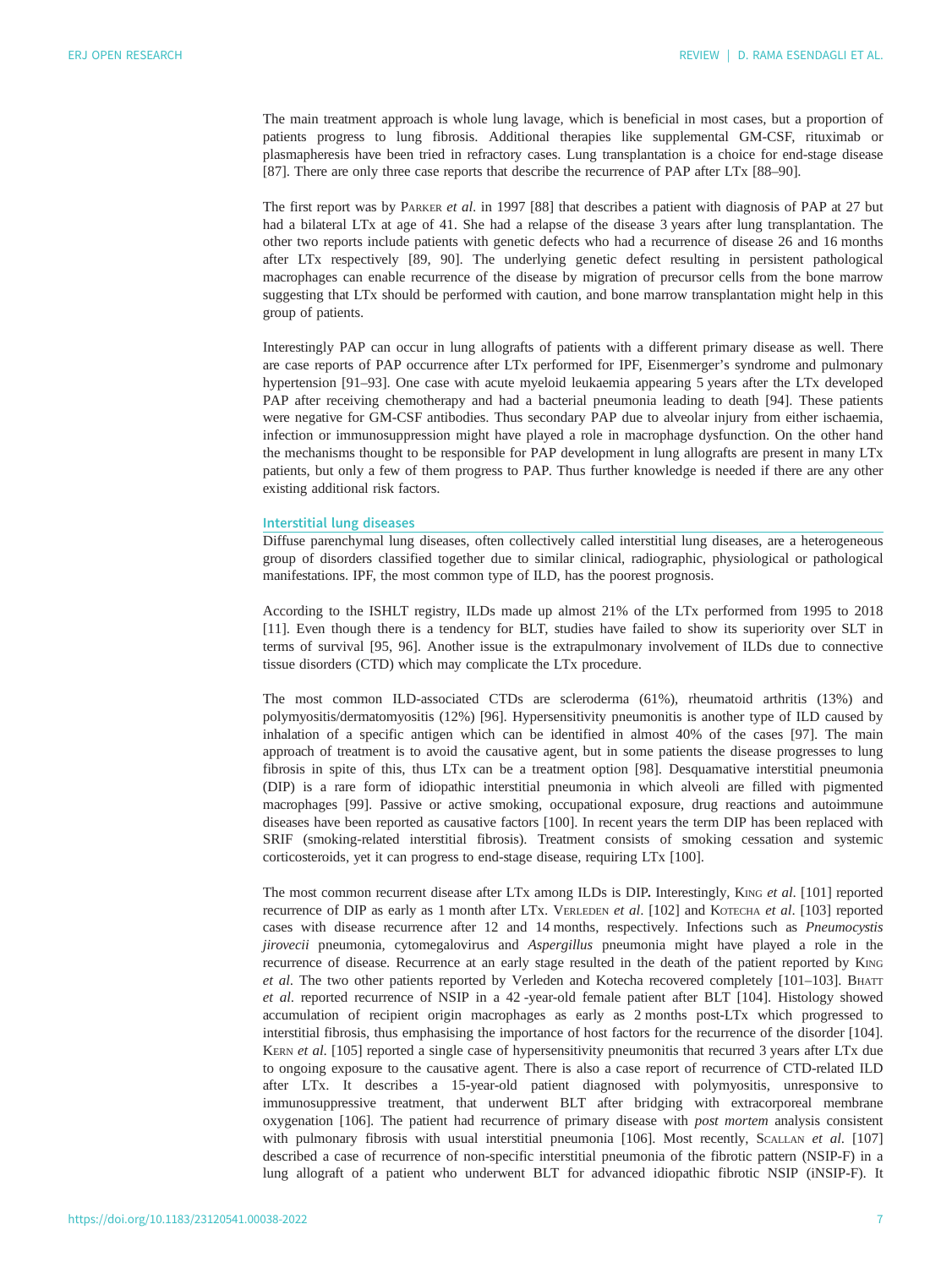The main treatment approach is whole lung lavage, which is beneficial in most cases, but a proportion of patients progress to lung fibrosis. Additional therapies like supplemental GM-CSF, rituximab or plasmapheresis have been tried in refractory cases. Lung transplantation is a choice for end-stage disease [\[87](#page-11-0)]. There are only three case reports that describe the recurrence of PAP after LTx [[88](#page-11-0)–[90](#page-11-0)].

The first report was by PARKER et al. in 1997 [[88\]](#page-11-0) that describes a patient with diagnosis of PAP at 27 but had a bilateral LTx at age of 41. She had a relapse of the disease 3 years after lung transplantation. The other two reports include patients with genetic defects who had a recurrence of disease 26 and 16 months after LTx respectively [[89, 90\]](#page-11-0). The underlying genetic defect resulting in persistent pathological macrophages can enable recurrence of the disease by migration of precursor cells from the bone marrow suggesting that LTx should be performed with caution, and bone marrow transplantation might help in this group of patients.

Interestingly PAP can occur in lung allografts of patients with a different primary disease as well. There are case reports of PAP occurrence after LTx performed for IPF, Eisenmerger's syndrome and pulmonary hypertension [[91](#page-11-0)–[93](#page-11-0)]. One case with acute myeloid leukaemia appearing 5 years after the LTx developed PAP after receiving chemotherapy and had a bacterial pneumonia leading to death [[94\]](#page-11-0). These patients were negative for GM-CSF antibodies. Thus secondary PAP due to alveolar injury from either ischaemia, infection or immunosuppression might have played a role in macrophage dysfunction. On the other hand the mechanisms thought to be responsible for PAP development in lung allografts are present in many LTx patients, but only a few of them progress to PAP. Thus further knowledge is needed if there are any other existing additional risk factors.

#### Interstitial lung diseases

Diffuse parenchymal lung diseases, often collectively called interstitial lung diseases, are a heterogeneous group of disorders classified together due to similar clinical, radiographic, physiological or pathological manifestations. IPF, the most common type of ILD, has the poorest prognosis.

According to the ISHLT registry, ILDs made up almost 21% of the LTx performed from 1995 to 2018 [\[11](#page-8-0)]. Even though there is a tendency for BLT, studies have failed to show its superiority over SLT in terms of survival [\[95](#page-11-0), [96](#page-11-0)]. Another issue is the extrapulmonary involvement of ILDs due to connective tissue disorders (CTD) which may complicate the LTx procedure.

The most common ILD-associated CTDs are scleroderma (61%), rheumatoid arthritis (13%) and polymyositis/dermatomyositis (12%) [\[96](#page-11-0)]. Hypersensitivity pneumonitis is another type of ILD caused by inhalation of a specific antigen which can be identified in almost 40% of the cases [[97\]](#page-11-0). The main approach of treatment is to avoid the causative agent, but in some patients the disease progresses to lung fibrosis in spite of this, thus LTx can be a treatment option [\[98](#page-11-0)]. Desquamative interstitial pneumonia (DIP) is a rare form of idiopathic interstitial pneumonia in which alveoli are filled with pigmented macrophages [[99\]](#page-11-0). Passive or active smoking, occupational exposure, drug reactions and autoimmune diseases have been reported as causative factors [\[100](#page-11-0)]. In recent years the term DIP has been replaced with SRIF (smoking-related interstitial fibrosis). Treatment consists of smoking cessation and systemic corticosteroids, yet it can progress to end-stage disease, requiring LTx [\[100\]](#page-11-0).

The most common recurrent disease after LTx among ILDs is DIP. Interestingly, KING et al. [\[101\]](#page-11-0) reported recurrence of DIP as early as 1 month after LTx. VERLEDEN et al. [[102](#page-11-0)] and KOTECHA et al. [[103](#page-11-0)] reported cases with disease recurrence after 12 and 14 months, respectively. Infections such as Pneumocystis jirovecii pneumonia, cytomegalovirus and Aspergillus pneumonia might have played a role in the recurrence of disease. Recurrence at an early stage resulted in the death of the patient reported by KING et al. The two other patients reported by Verleden and Kotecha recovered completely [\[101](#page-11-0)–[103\]](#page-11-0). BHATT et al. reported recurrence of NSIP in a 42 -year-old female patient after BLT [\[104\]](#page-11-0). Histology showed accumulation of recipient origin macrophages as early as 2 months post-LTx which progressed to interstitial fibrosis, thus emphasising the importance of host factors for the recurrence of the disorder [\[104\]](#page-11-0). KERN et al. [\[105\]](#page-12-0) reported a single case of hypersensitivity pneumonitis that recurred 3 years after LTx due to ongoing exposure to the causative agent. There is also a case report of recurrence of CTD-related ILD after LTx. It describes a 15-year-old patient diagnosed with polymyositis, unresponsive to immunosuppressive treatment, that underwent BLT after bridging with extracorporeal membrane oxygenation [\[106\]](#page-12-0). The patient had recurrence of primary disease with post mortem analysis consistent with pulmonary fibrosis with usual interstitial pneumonia [[106](#page-12-0)]. Most recently, SCALLAN et al. [\[107\]](#page-12-0) described a case of recurrence of non-specific interstitial pneumonia of the fibrotic pattern (NSIP-F) in a lung allograft of a patient who underwent BLT for advanced idiopathic fibrotic NSIP (iNSIP-F). It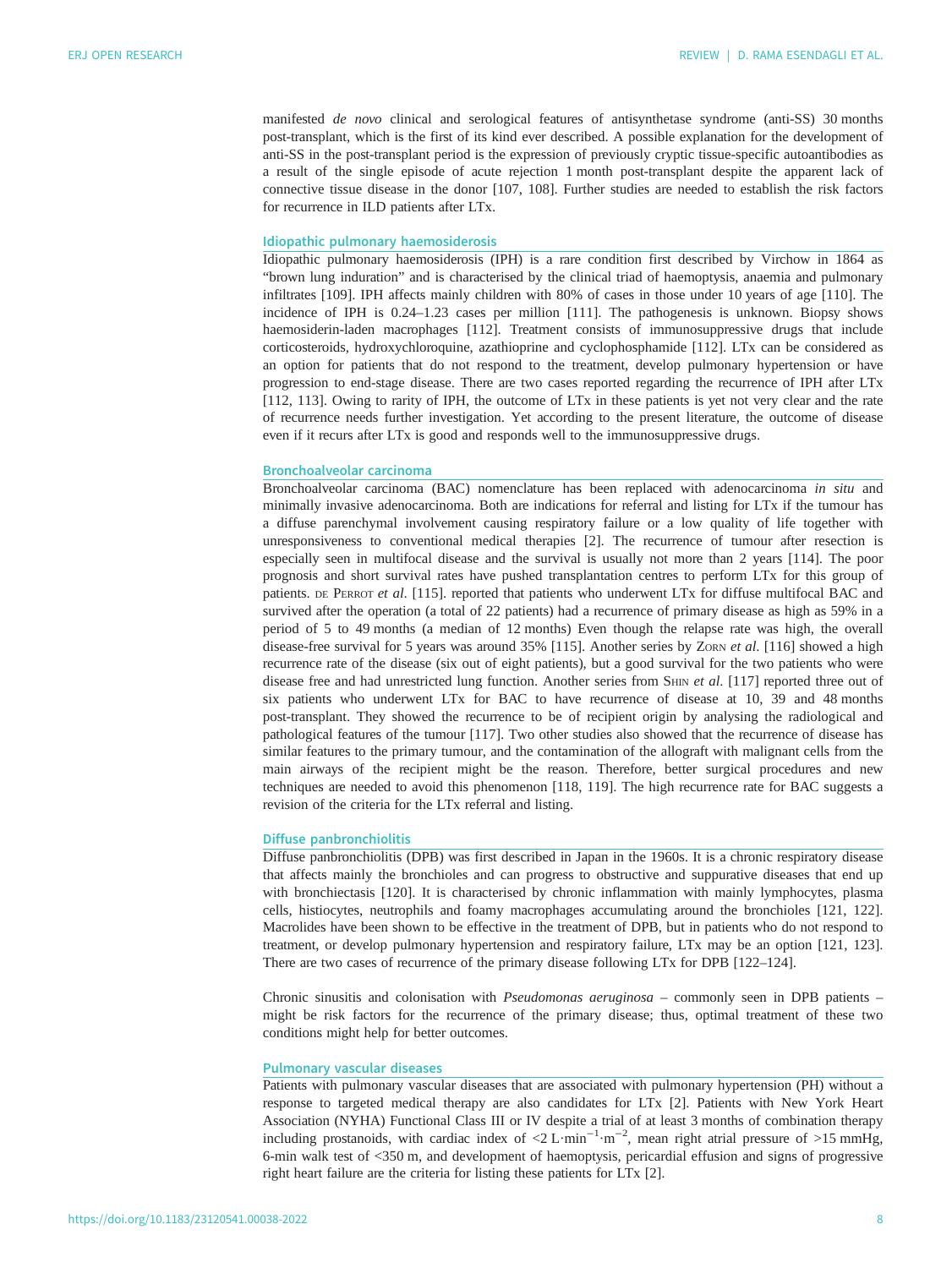manifested de novo clinical and serological features of antisynthetase syndrome (anti-SS) 30 months post-transplant, which is the first of its kind ever described. A possible explanation for the development of anti-SS in the post-transplant period is the expression of previously cryptic tissue-specific autoantibodies as a result of the single episode of acute rejection 1 month post-transplant despite the apparent lack of connective tissue disease in the donor [\[107, 108](#page-12-0)]. Further studies are needed to establish the risk factors for recurrence in ILD patients after LTx.

## Idiopathic pulmonary haemosiderosis

Idiopathic pulmonary haemosiderosis (IPH) is a rare condition first described by Virchow in 1864 as "brown lung induration" and is characterised by the clinical triad of haemoptysis, anaemia and pulmonary infiltrates [[109](#page-12-0)]. IPH affects mainly children with 80% of cases in those under 10 years of age [\[110\]](#page-12-0). The incidence of IPH is 0.24–1.23 cases per million [[111](#page-12-0)]. The pathogenesis is unknown. Biopsy shows haemosiderin-laden macrophages [[112](#page-12-0)]. Treatment consists of immunosuppressive drugs that include corticosteroids, hydroxychloroquine, azathioprine and cyclophosphamide [\[112\]](#page-12-0). LTx can be considered as an option for patients that do not respond to the treatment, develop pulmonary hypertension or have progression to end-stage disease. There are two cases reported regarding the recurrence of IPH after LTx [\[112, 113\]](#page-12-0). Owing to rarity of IPH, the outcome of LTx in these patients is yet not very clear and the rate of recurrence needs further investigation. Yet according to the present literature, the outcome of disease even if it recurs after LTx is good and responds well to the immunosuppressive drugs.

#### Bronchoalveolar carcinoma

Bronchoalveolar carcinoma (BAC) nomenclature has been replaced with adenocarcinoma in situ and minimally invasive adenocarcinoma. Both are indications for referral and listing for LTx if the tumour has a diffuse parenchymal involvement causing respiratory failure or a low quality of life together with unresponsiveness to conventional medical therapies [[2](#page-8-0)]. The recurrence of tumour after resection is especially seen in multifocal disease and the survival is usually not more than 2 years [\[114\]](#page-12-0). The poor prognosis and short survival rates have pushed transplantation centres to perform LTx for this group of patients. DE PERROT et al. [[115](#page-12-0)]. reported that patients who underwent LTx for diffuse multifocal BAC and survived after the operation (a total of 22 patients) had a recurrence of primary disease as high as 59% in a period of 5 to 49 months (a median of 12 months) Even though the relapse rate was high, the overall disease-free survival for 5 years was around 35% [[115](#page-12-0)]. Another series by ZoRN et al. [\[116\]](#page-12-0) showed a high recurrence rate of the disease (six out of eight patients), but a good survival for the two patients who were disease free and had unrestricted lung function. Another series from SHIN et al. [[117](#page-12-0)] reported three out of six patients who underwent LTx for BAC to have recurrence of disease at 10, 39 and 48 months post-transplant. They showed the recurrence to be of recipient origin by analysing the radiological and pathological features of the tumour [[117](#page-12-0)]. Two other studies also showed that the recurrence of disease has similar features to the primary tumour, and the contamination of the allograft with malignant cells from the main airways of the recipient might be the reason. Therefore, better surgical procedures and new techniques are needed to avoid this phenomenon [[118](#page-12-0), [119\]](#page-12-0). The high recurrence rate for BAC suggests a revision of the criteria for the LTx referral and listing.

#### Diffuse panbronchiolitis

Diffuse panbronchiolitis (DPB) was first described in Japan in the 1960s. It is a chronic respiratory disease that affects mainly the bronchioles and can progress to obstructive and suppurative diseases that end up with bronchiectasis [[120](#page-12-0)]. It is characterised by chronic inflammation with mainly lymphocytes, plasma cells, histiocytes, neutrophils and foamy macrophages accumulating around the bronchioles [\[121, 122\]](#page-12-0). Macrolides have been shown to be effective in the treatment of DPB, but in patients who do not respond to treatment, or develop pulmonary hypertension and respiratory failure, LTx may be an option [[121](#page-12-0), [123\]](#page-12-0). There are two cases of recurrence of the primary disease following LTx for DPB [[122](#page-12-0)–[124](#page-12-0)].

Chronic sinusitis and colonisation with Pseudomonas aeruginosa – commonly seen in DPB patients – might be risk factors for the recurrence of the primary disease; thus, optimal treatment of these two conditions might help for better outcomes.

#### Pulmonary vascular diseases

Patients with pulmonary vascular diseases that are associated with pulmonary hypertension (PH) without a response to targeted medical therapy are also candidates for LTx [[2](#page-8-0)]. Patients with New York Heart Association (NYHA) Functional Class III or IV despite a trial of at least 3 months of combination therapy including prostanoids, with cardiac index of <2 L·min<sup>-1</sup>·m<sup>-2</sup>, mean right atrial pressure of >15 mmHg, 6-min walk test of <350 m, and development of haemoptysis, pericardial effusion and signs of progressive right heart failure are the criteria for listing these patients for LTx [[2](#page-8-0)].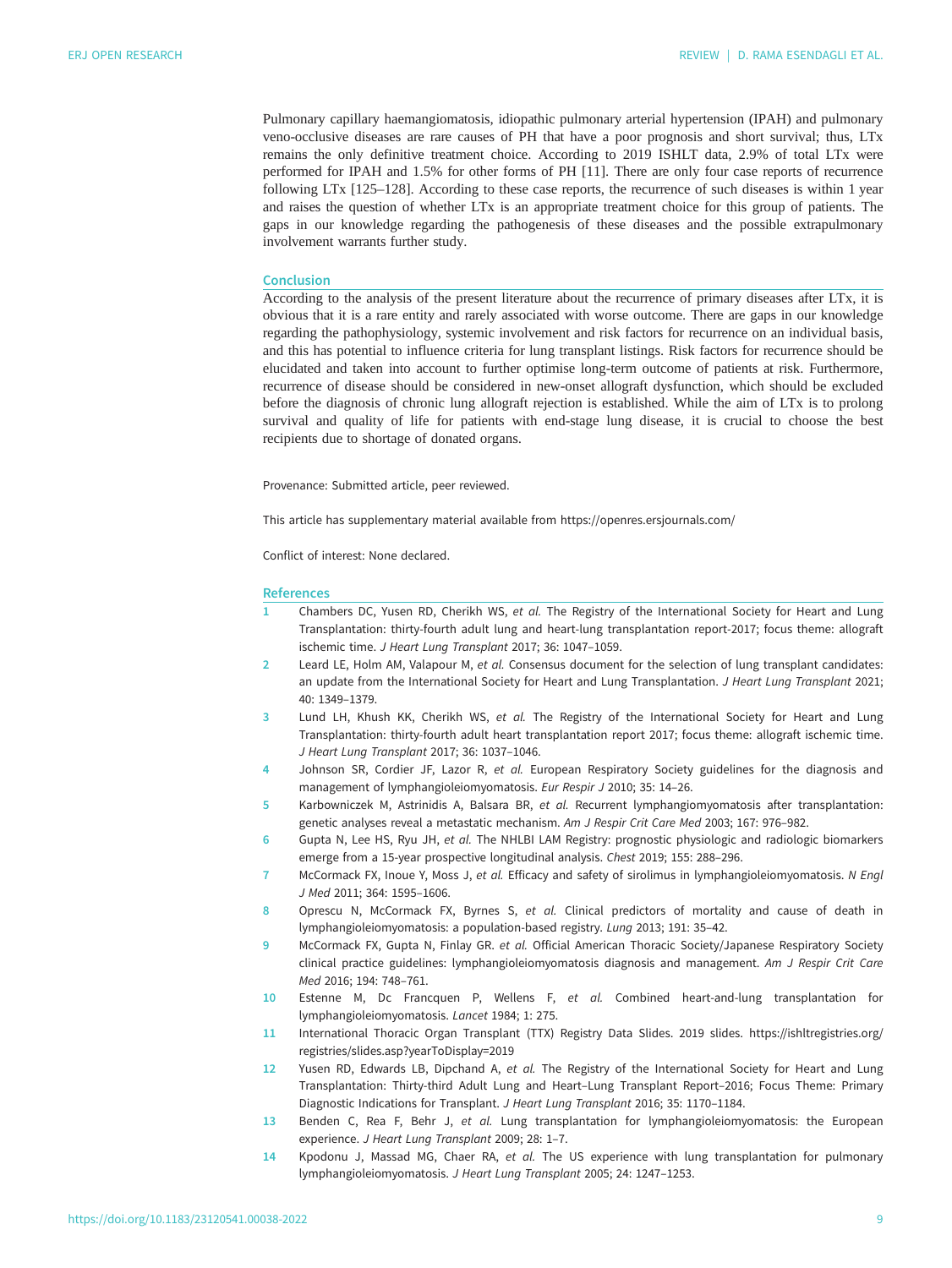<span id="page-8-0"></span>Pulmonary capillary haemangiomatosis, idiopathic pulmonary arterial hypertension (IPAH) and pulmonary veno-occlusive diseases are rare causes of PH that have a poor prognosis and short survival; thus, LTx remains the only definitive treatment choice. According to 2019 ISHLT data, 2.9% of total LTx were performed for IPAH and 1.5% for other forms of PH [11]. There are only four case reports of recurrence following LTx [[125](#page-12-0)–[128](#page-12-0)]. According to these case reports, the recurrence of such diseases is within 1 year and raises the question of whether LTx is an appropriate treatment choice for this group of patients. The gaps in our knowledge regarding the pathogenesis of these diseases and the possible extrapulmonary involvement warrants further study.

#### Conclusion

According to the analysis of the present literature about the recurrence of primary diseases after LTx, it is obvious that it is a rare entity and rarely associated with worse outcome. There are gaps in our knowledge regarding the pathophysiology, systemic involvement and risk factors for recurrence on an individual basis, and this has potential to influence criteria for lung transplant listings. Risk factors for recurrence should be elucidated and taken into account to further optimise long-term outcome of patients at risk. Furthermore, recurrence of disease should be considered in new-onset allograft dysfunction, which should be excluded before the diagnosis of chronic lung allograft rejection is established. While the aim of LTx is to prolong survival and quality of life for patients with end-stage lung disease, it is crucial to choose the best recipients due to shortage of donated organs.

Provenance: Submitted article, peer reviewed.

This article has supplementary material available from<https://openres.ersjournals.com/>

Conflict of interest: None declared.

#### References

- 1 Chambers DC, Yusen RD, Cherikh WS, et al. The Registry of the International Society for Heart and Lung Transplantation: thirty-fourth adult lung and heart-lung transplantation report-2017; focus theme: allograft ischemic time. J Heart Lung Transplant 2017; 36: 1047–1059.
- 2 Leard LE, Holm AM, Valapour M, et al. Consensus document for the selection of lung transplant candidates: an update from the International Society for Heart and Lung Transplantation. J Heart Lung Transplant 2021; 40: 1349–1379.
- 3 Lund LH, Khush KK, Cherikh WS, et al. The Registry of the International Society for Heart and Lung Transplantation: thirty-fourth adult heart transplantation report 2017; focus theme: allograft ischemic time. J Heart Lung Transplant 2017; 36: 1037–1046.
- 4 Johnson SR, Cordier JF, Lazor R, et al. European Respiratory Society guidelines for the diagnosis and management of lymphangioleiomyomatosis. Eur Respir J 2010; 35: 14–26.
- 5 Karbowniczek M, Astrinidis A, Balsara BR, et al. Recurrent lymphangiomyomatosis after transplantation: genetic analyses reveal a metastatic mechanism. Am J Respir Crit Care Med 2003; 167: 976–982.
- 6 Gupta N, Lee HS, Ryu JH, et al. The NHLBI LAM Registry: prognostic physiologic and radiologic biomarkers emerge from a 15-year prospective longitudinal analysis. Chest 2019; 155: 288–296.
- 7 McCormack FX, Inoue Y, Moss J, et al. Efficacy and safety of sirolimus in lymphangioleiomyomatosis. N Engl J Med 2011; 364: 1595–1606.
- 8 Oprescu N, McCormack FX, Byrnes S, et al. Clinical predictors of mortality and cause of death in lymphangioleiomyomatosis: a population-based registry. Lung 2013; 191: 35–42.
- 9 McCormack FX, Gupta N, Finlay GR. et al. Official American Thoracic Society/Japanese Respiratory Society clinical practice guidelines: lymphangioleiomyomatosis diagnosis and management. Am J Respir Crit Care Med 2016; 194: 748–761.
- 10 Estenne M, Dc Francquen P, Wellens F, et al. Combined heart-and-lung transplantation for lymphangioleiomyomatosis. Lancet 1984; 1: 275.
- 11 International Thoracic Organ Transplant (TTX) Registry Data Slides. 2019 slides. [https://ishltregistries.org/](https://ishltregistries.org/registries/slides.asp?yearToDisplay=2019) [registries/slides.asp?yearToDisplay=2019](https://ishltregistries.org/registries/slides.asp?yearToDisplay=2019)
- 12 Yusen RD, Edwards LB, Dipchand A, et al. The Registry of the International Society for Heart and Lung Transplantation: Thirty-third Adult Lung and Heart–Lung Transplant Report–2016; Focus Theme: Primary Diagnostic Indications for Transplant. J Heart Lung Transplant 2016; 35: 1170–1184.
- 13 Benden C, Rea F, Behr J, et al. Lung transplantation for lymphangioleiomyomatosis: the European experience. J Heart Lung Transplant 2009; 28: 1–7.
- 14 Kpodonu J, Massad MG, Chaer RA, et al. The US experience with lung transplantation for pulmonary lymphangioleiomyomatosis. J Heart Lung Transplant 2005; 24: 1247–1253.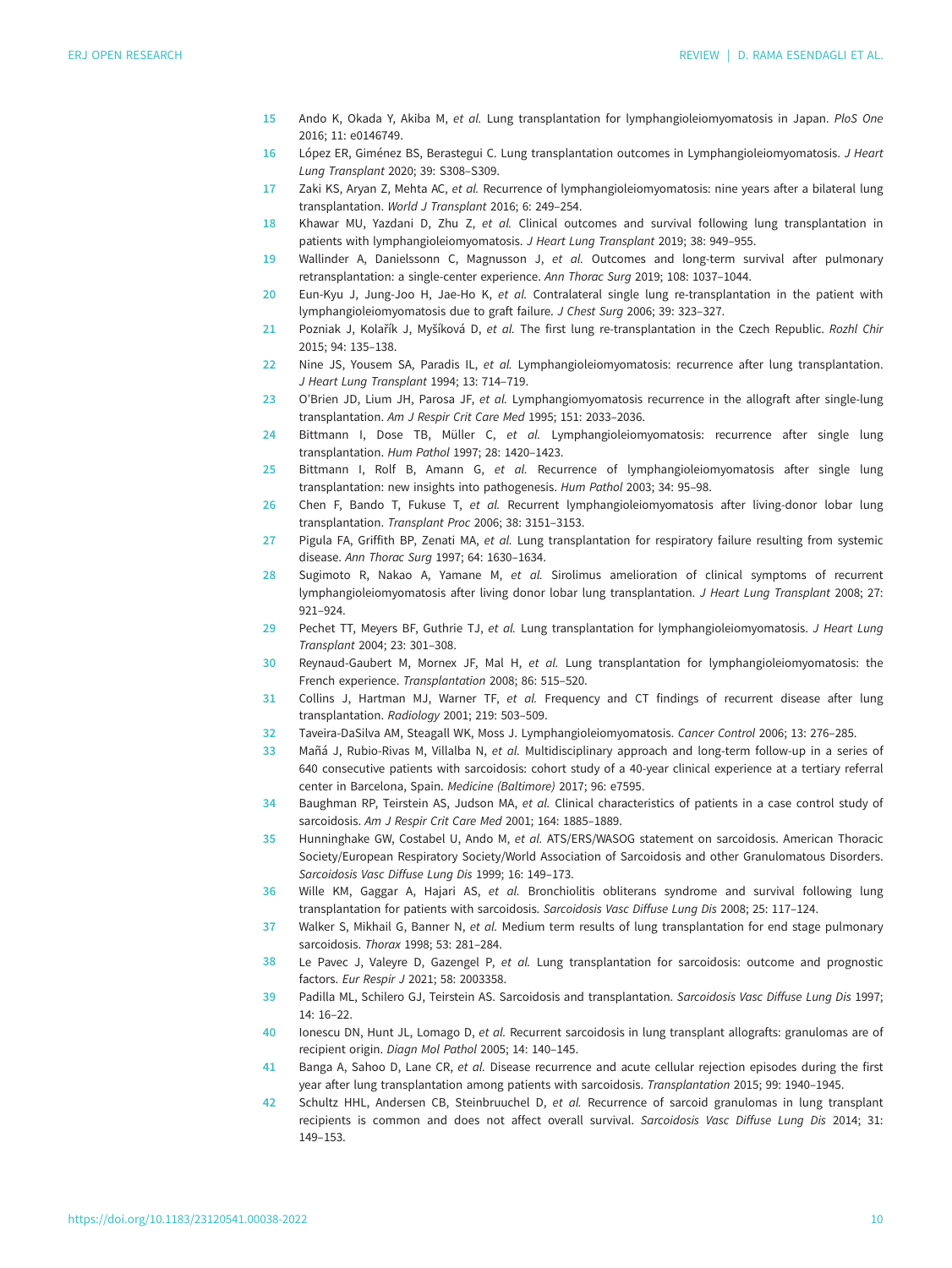- <span id="page-9-0"></span>15 Ando K, Okada Y, Akiba M, et al. Lung transplantation for lymphangioleiomyomatosis in Japan. PloS One 2016; 11: e0146749.
- 16 López ER, Giménez BS, Berastegui C. Lung transplantation outcomes in Lymphangioleiomyomatosis. J Heart Lung Transplant 2020; 39: S308–S309.
- 17 Zaki KS, Aryan Z, Mehta AC, et al. Recurrence of lymphangioleiomyomatosis: nine years after a bilateral lung transplantation. World J Transplant 2016; 6: 249–254.
- 18 Khawar MU, Yazdani D, Zhu Z, et al. Clinical outcomes and survival following lung transplantation in patients with lymphangioleiomyomatosis. J Heart Lung Transplant 2019; 38: 949–955.
- 19 Wallinder A, Danielssonn C, Magnusson J, et al. Outcomes and long-term survival after pulmonary retransplantation: a single-center experience. Ann Thorac Surg 2019; 108: 1037–1044.
- 20 Eun-Kyu J, Jung-Joo H, Jae-Ho K, et al. Contralateral single lung re-transplantation in the patient with lymphangioleiomyomatosis due to graft failure. J Chest Surg 2006; 39: 323–327.
- 21 Pozniak J, Kolařík J, Myšíková D, et al. The first lung re-transplantation in the Czech Republic. Rozhl Chir 2015; 94: 135–138.
- 22 Nine JS, Yousem SA, Paradis IL, et al. Lymphangioleiomyomatosis: recurrence after lung transplantation. J Heart Lung Transplant 1994; 13: 714–719.
- 23 O'Brien JD, Lium JH, Parosa JF, et al. Lymphangiomyomatosis recurrence in the allograft after single-lung transplantation. Am J Respir Crit Care Med 1995; 151: 2033–2036.
- 24 Bittmann I, Dose TB, Müller C, et al. Lymphangioleiomyomatosis: recurrence after single lung transplantation. Hum Pathol 1997; 28: 1420–1423.
- 25 Bittmann I, Rolf B, Amann G, et al. Recurrence of lymphangioleiomyomatosis after single lung transplantation: new insights into pathogenesis. Hum Pathol 2003; 34: 95–98.
- 26 Chen F, Bando T, Fukuse T, et al. Recurrent lymphangioleiomyomatosis after living-donor lobar lung transplantation. Transplant Proc 2006; 38: 3151–3153.
- 27 Pigula FA, Griffith BP, Zenati MA, et al. Lung transplantation for respiratory failure resulting from systemic disease. Ann Thorac Surg 1997; 64: 1630–1634.
- 28 Sugimoto R, Nakao A, Yamane M, et al. Sirolimus amelioration of clinical symptoms of recurrent lymphangioleiomyomatosis after living donor lobar lung transplantation. J Heart Lung Transplant 2008; 27: 921–924.
- 29 Pechet TT, Meyers BF, Guthrie TJ, et al. Lung transplantation for lymphangioleiomyomatosis. J Heart Lung Transplant 2004; 23: 301–308.
- 30 Reynaud-Gaubert M, Mornex JF, Mal H, et al. Lung transplantation for lymphangioleiomyomatosis: the French experience. Transplantation 2008; 86: 515–520.
- 31 Collins J, Hartman MJ, Warner TF, et al. Frequency and CT findings of recurrent disease after lung transplantation. Radiology 2001; 219: 503–509.
- 32 Taveira-DaSilva AM, Steagall WK, Moss J. Lymphangioleiomyomatosis. Cancer Control 2006; 13: 276–285.
- 33 Mañá J, Rubio-Rivas M, Villalba N, et al. Multidisciplinary approach and long-term follow-up in a series of 640 consecutive patients with sarcoidosis: cohort study of a 40-year clinical experience at a tertiary referral center in Barcelona, Spain. Medicine (Baltimore) 2017; 96: e7595.
- 34 Baughman RP, Teirstein AS, Judson MA, et al. Clinical characteristics of patients in a case control study of sarcoidosis. Am J Respir Crit Care Med 2001; 164: 1885–1889.
- 35 Hunninghake GW, Costabel U, Ando M, et al. ATS/ERS/WASOG statement on sarcoidosis. American Thoracic Society/European Respiratory Society/World Association of Sarcoidosis and other Granulomatous Disorders. Sarcoidosis Vasc Diffuse Lung Dis 1999; 16: 149–173.
- 36 Wille KM, Gaggar A, Hajari AS, et al. Bronchiolitis obliterans syndrome and survival following lung transplantation for patients with sarcoidosis. Sarcoidosis Vasc Diffuse Lung Dis 2008; 25: 117–124.
- 37 Walker S, Mikhail G, Banner N, et al. Medium term results of lung transplantation for end stage pulmonary sarcoidosis. Thorax 1998; 53: 281–284.
- 38 Le Pavec J, Valeyre D, Gazengel P, et al. Lung transplantation for sarcoidosis: outcome and prognostic factors. Eur Respir J 2021; 58: 2003358.
- 39 Padilla ML, Schilero GJ, Teirstein AS. Sarcoidosis and transplantation. Sarcoidosis Vasc Diffuse Lung Dis 1997; 14: 16–22.
- 40 Ionescu DN, Hunt JL, Lomago D, et al. Recurrent sarcoidosis in lung transplant allografts: granulomas are of recipient origin. Diagn Mol Pathol 2005; 14: 140–145.
- 41 Banga A, Sahoo D, Lane CR, et al. Disease recurrence and acute cellular rejection episodes during the first year after lung transplantation among patients with sarcoidosis. Transplantation 2015; 99: 1940–1945.
- 42 Schultz HHL, Andersen CB, Steinbruuchel D, et al. Recurrence of sarcoid granulomas in lung transplant recipients is common and does not affect overall survival. Sarcoidosis Vasc Diffuse Lung Dis 2014; 31: 149–153.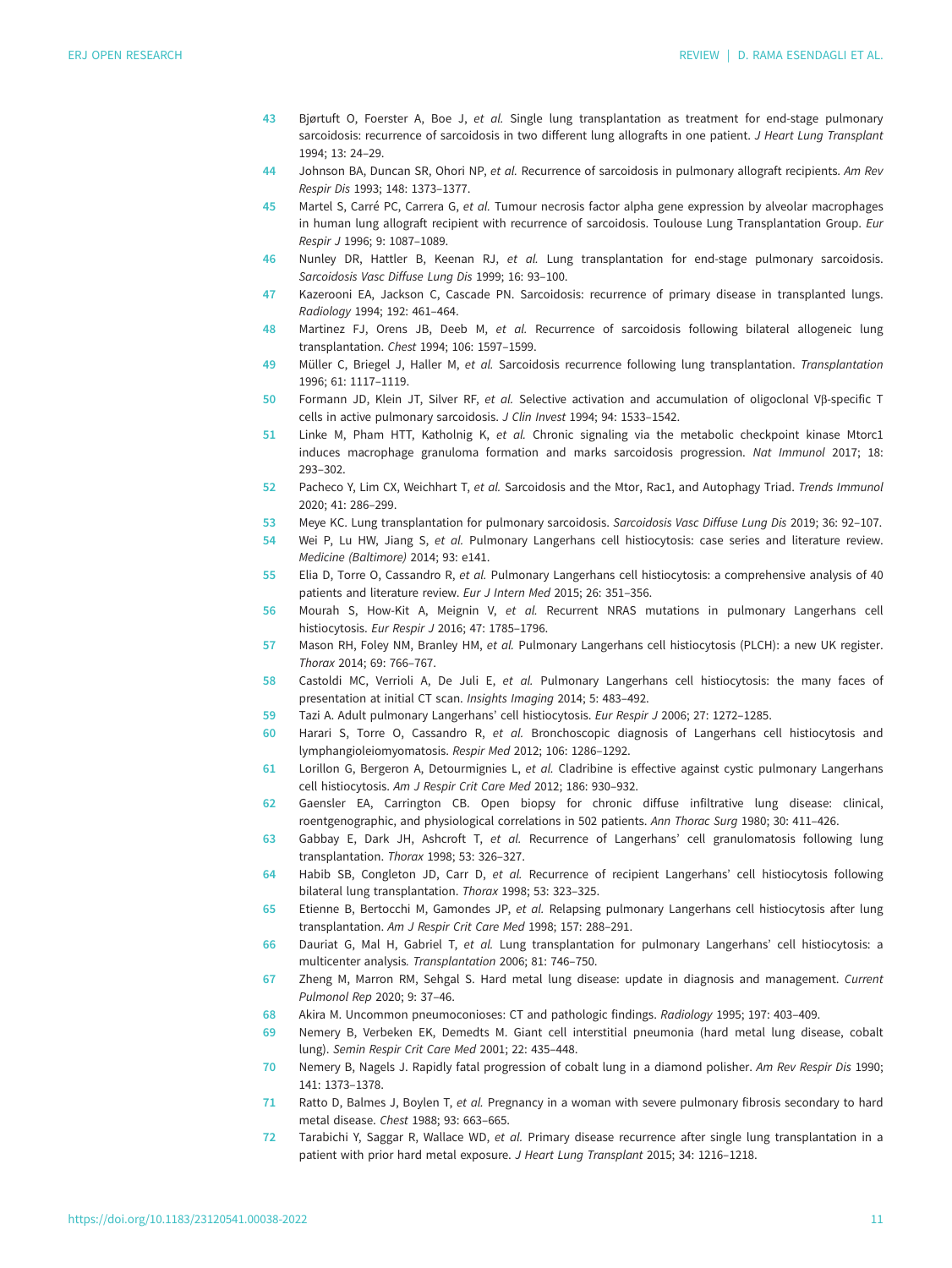- <span id="page-10-0"></span>43 Bjørtuft O, Foerster A, Boe J, et al. Single lung transplantation as treatment for end-stage pulmonary sarcoidosis: recurrence of sarcoidosis in two different lung allografts in one patient. J Heart Lung Transplant 1994; 13: 24–29.
- 44 Johnson BA, Duncan SR, Ohori NP, et al. Recurrence of sarcoidosis in pulmonary allograft recipients. Am Rev Respir Dis 1993; 148: 1373–1377.
- 45 Martel S, Carré PC, Carrera G, et al. Tumour necrosis factor alpha gene expression by alveolar macrophages in human lung allograft recipient with recurrence of sarcoidosis. Toulouse Lung Transplantation Group. Eur Respir J 1996; 9: 1087–1089.
- 46 Nunley DR, Hattler B, Keenan RJ, et al. Lung transplantation for end-stage pulmonary sarcoidosis. Sarcoidosis Vasc Diffuse Lung Dis 1999; 16: 93–100.
- 47 Kazerooni EA, Jackson C, Cascade PN. Sarcoidosis: recurrence of primary disease in transplanted lungs. Radiology 1994; 192: 461–464.
- 48 Martinez FJ, Orens JB, Deeb M, et al. Recurrence of sarcoidosis following bilateral allogeneic lung transplantation. Chest 1994; 106: 1597–1599.
- 49 Müller C, Briegel J, Haller M, et al. Sarcoidosis recurrence following lung transplantation. Transplantation 1996; 61: 1117–1119.
- 50 Formann JD, Klein JT, Silver RF, et al. Selective activation and accumulation of oligoclonal Vβ-specific T cells in active pulmonary sarcoidosis. J Clin Invest 1994; 94: 1533–1542.
- 51 Linke M, Pham HTT, Katholnig K, et al. Chronic signaling via the metabolic checkpoint kinase Mtorc1 induces macrophage granuloma formation and marks sarcoidosis progression. Nat Immunol 2017; 18: 293–302.
- 52 Pacheco Y, Lim CX, Weichhart T, et al. Sarcoidosis and the Mtor, Rac1, and Autophagy Triad. Trends Immunol 2020; 41: 286–299.
- 53 Meye KC. Lung transplantation for pulmonary sarcoidosis. Sarcoidosis Vasc Diffuse Lung Dis 2019; 36: 92–107.
- 54 Wei P, Lu HW, Jiang S, et al. Pulmonary Langerhans cell histiocytosis: case series and literature review. Medicine (Baltimore) 2014; 93: e141.
- 55 Elia D, Torre O, Cassandro R, et al. Pulmonary Langerhans cell histiocytosis: a comprehensive analysis of 40 patients and literature review. Eur J Intern Med 2015; 26: 351–356.
- 56 Mourah S, How-Kit A, Meignin V, et al. Recurrent NRAS mutations in pulmonary Langerhans cell histiocytosis. Eur Respir J 2016; 47: 1785–1796.
- 57 Mason RH, Foley NM, Branley HM, et al. Pulmonary Langerhans cell histiocytosis (PLCH): a new UK register. Thorax 2014; 69: 766–767.
- 58 Castoldi MC, Verrioli A, De Juli E, et al. Pulmonary Langerhans cell histiocytosis: the many faces of presentation at initial CT scan. Insights Imaging 2014; 5: 483–492.
- 59 Tazi A. Adult pulmonary Langerhans' cell histiocytosis. Eur Respir J 2006; 27: 1272–1285.
- 60 Harari S, Torre O, Cassandro R, et al. Bronchoscopic diagnosis of Langerhans cell histiocytosis and lymphangioleiomyomatosis. Respir Med 2012; 106: 1286–1292.
- 61 Lorillon G, Bergeron A, Detourmignies L, et al. Cladribine is effective against cystic pulmonary Langerhans cell histiocytosis. Am J Respir Crit Care Med 2012; 186: 930–932.
- 62 Gaensler EA, Carrington CB. Open biopsy for chronic diffuse infiltrative lung disease: clinical, roentgenographic, and physiological correlations in 502 patients. Ann Thorac Surg 1980; 30: 411–426.
- 63 Gabbay E, Dark JH, Ashcroft T, et al. Recurrence of Langerhans' cell granulomatosis following lung transplantation. Thorax 1998; 53: 326–327.
- 64 Habib SB, Congleton JD, Carr D, et al. Recurrence of recipient Langerhans' cell histiocytosis following bilateral lung transplantation. Thorax 1998; 53: 323–325.
- 65 Etienne B, Bertocchi M, Gamondes JP, et al. Relapsing pulmonary Langerhans cell histiocytosis after lung transplantation. Am J Respir Crit Care Med 1998; 157: 288–291.
- 66 Dauriat G, Mal H, Gabriel T, et al. Lung transplantation for pulmonary Langerhans' cell histiocytosis: a multicenter analysis. Transplantation 2006; 81: 746–750.
- 67 Zheng M, Marron RM, Sehgal S. Hard metal lung disease: update in diagnosis and management. Current Pulmonol Rep 2020; 9: 37–46.
- 68 Akira M. Uncommon pneumoconioses: CT and pathologic findings. Radiology 1995; 197: 403–409.
- 69 Nemery B, Verbeken EK, Demedts M. Giant cell interstitial pneumonia (hard metal lung disease, cobalt lung). Semin Respir Crit Care Med 2001; 22: 435–448.
- 70 Nemery B, Nagels J. Rapidly fatal progression of cobalt lung in a diamond polisher. Am Rev Respir Dis 1990; 141: 1373–1378.
- 71 Ratto D, Balmes J, Boylen T, et al. Pregnancy in a woman with severe pulmonary fibrosis secondary to hard metal disease. Chest 1988; 93: 663–665.
- 72 Tarabichi Y, Saggar R, Wallace WD, et al. Primary disease recurrence after single lung transplantation in a patient with prior hard metal exposure. J Heart Lung Transplant 2015; 34: 1216–1218.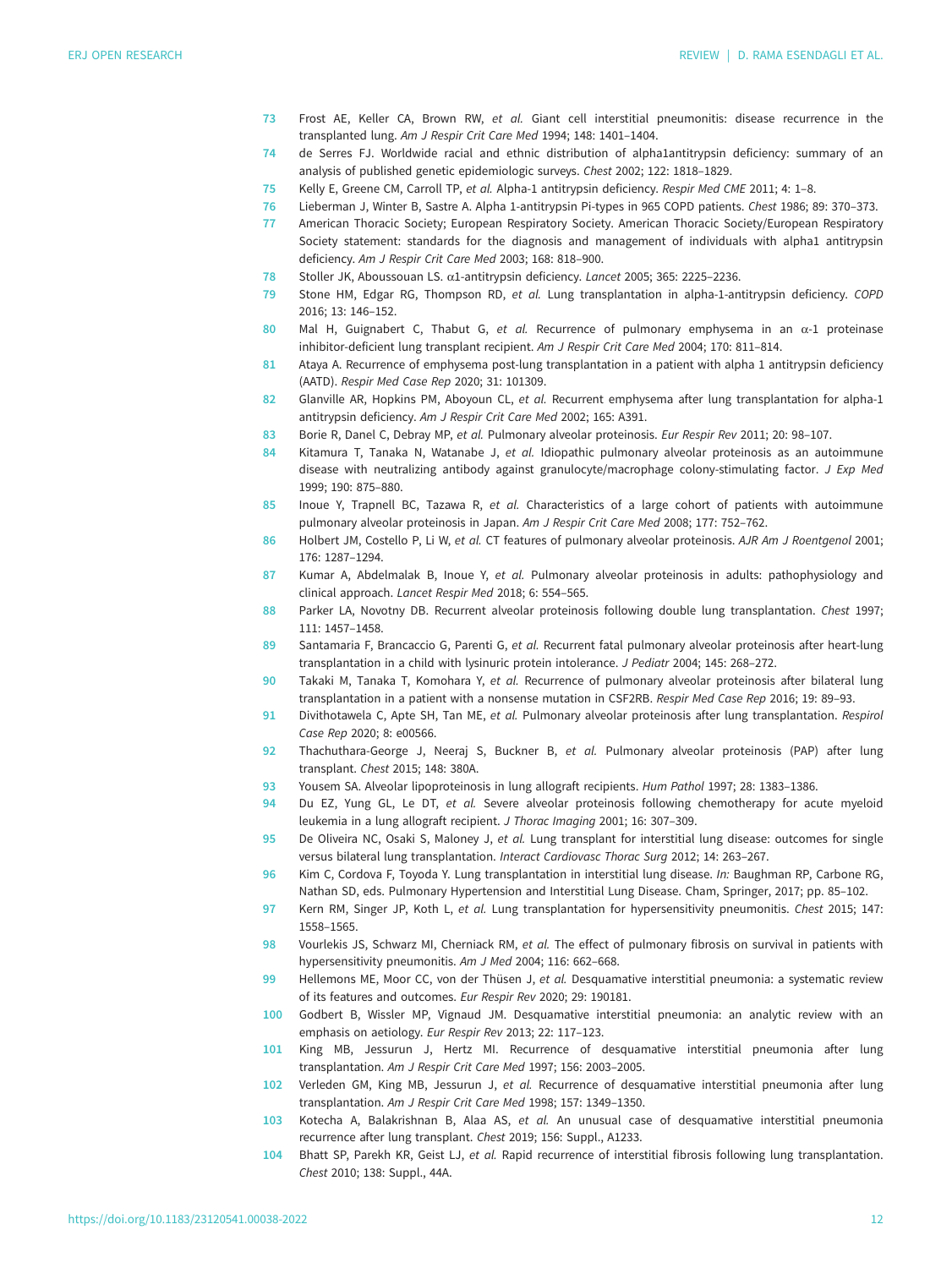- <span id="page-11-0"></span>73 Frost AE, Keller CA, Brown RW, et al. Giant cell interstitial pneumonitis: disease recurrence in the transplanted lung. Am J Respir Crit Care Med 1994; 148: 1401–1404.
- 74 de Serres FJ. Worldwide racial and ethnic distribution of alpha1antitrypsin deficiency: summary of an analysis of published genetic epidemiologic surveys. Chest 2002; 122: 1818–1829.
- 75 Kelly E, Greene CM, Carroll TP, et al. Alpha-1 antitrypsin deficiency. Respir Med CME 2011; 4: 1–8.
- 76 Lieberman J, Winter B, Sastre A. Alpha 1-antitrypsin Pi-types in 965 COPD patients. Chest 1986; 89: 370–373.
- 77 American Thoracic Society; European Respiratory Society. American Thoracic Society/European Respiratory Society statement: standards for the diagnosis and management of individuals with alpha1 antitrypsin deficiency. Am J Respir Crit Care Med 2003; 168: 818–900.
- 78 Stoller JK, Aboussouan LS. α1-antitrypsin deficiency. Lancet 2005; 365: 2225–2236.
- 79 Stone HM, Edgar RG, Thompson RD, et al. Lung transplantation in alpha-1-antitrypsin deficiency. COPD 2016; 13: 146–152.
- 80 Mal H, Guignabert C, Thabut G, et al. Recurrence of pulmonary emphysema in an  $\alpha$ -1 proteinase inhibitor-deficient lung transplant recipient. Am J Respir Crit Care Med 2004; 170: 811–814.
- 81 Ataya A. Recurrence of emphysema post-lung transplantation in a patient with alpha 1 antitrypsin deficiency (AATD). Respir Med Case Rep 2020; 31: 101309.
- 82 Glanville AR, Hopkins PM, Aboyoun CL, et al. Recurrent emphysema after lung transplantation for alpha-1 antitrypsin deficiency. Am J Respir Crit Care Med 2002; 165: A391.
- 83 Borie R, Danel C, Debray MP, et al. Pulmonary alveolar proteinosis. Eur Respir Rev 2011; 20: 98-107.
- 84 Kitamura T, Tanaka N, Watanabe J, et al. Idiopathic pulmonary alveolar proteinosis as an autoimmune disease with neutralizing antibody against granulocyte/macrophage colony-stimulating factor. J Exp Med 1999; 190: 875–880.
- 85 Inoue Y, Trapnell BC, Tazawa R, et al. Characteristics of a large cohort of patients with autoimmune pulmonary alveolar proteinosis in Japan. Am J Respir Crit Care Med 2008; 177: 752–762.
- 86 Holbert JM, Costello P, Li W, et al. CT features of pulmonary alveolar proteinosis. AJR Am J Roentgenol 2001; 176: 1287–1294.
- 87 Kumar A, Abdelmalak B, Inoue Y, et al. Pulmonary alveolar proteinosis in adults: pathophysiology and clinical approach. Lancet Respir Med 2018; 6: 554–565.
- 88 Parker LA, Novotny DB. Recurrent alveolar proteinosis following double lung transplantation. Chest 1997; 111: 1457–1458.
- 89 Santamaria F, Brancaccio G, Parenti G, et al. Recurrent fatal pulmonary alveolar proteinosis after heart-lung transplantation in a child with lysinuric protein intolerance. J Pediatr 2004; 145: 268–272.
- 90 Takaki M, Tanaka T, Komohara Y, et al. Recurrence of pulmonary alveolar proteinosis after bilateral lung transplantation in a patient with a nonsense mutation in CSF2RB. Respir Med Case Rep 2016; 19: 89–93.
- 91 Divithotawela C, Apte SH, Tan ME, et al. Pulmonary alveolar proteinosis after lung transplantation. Respirol Case Rep 2020; 8: e00566.
- 92 Thachuthara-George J, Neeraj S, Buckner B, et al. Pulmonary alveolar proteinosis (PAP) after lung transplant. Chest 2015; 148: 380A.
- 93 Yousem SA. Alveolar lipoproteinosis in lung allograft recipients. Hum Pathol 1997; 28: 1383–1386.
- 94 Du EZ, Yung GL, Le DT, et al. Severe alveolar proteinosis following chemotherapy for acute myeloid leukemia in a lung allograft recipient. J Thorac Imaging 2001; 16: 307–309.
- 95 De Oliveira NC, Osaki S, Maloney J, et al. Lung transplant for interstitial lung disease: outcomes for single versus bilateral lung transplantation. Interact Cardiovasc Thorac Surg 2012; 14: 263–267.
- 96 Kim C, Cordova F, Toyoda Y. Lung transplantation in interstitial lung disease. In: Baughman RP, Carbone RG, Nathan SD, eds. Pulmonary Hypertension and Interstitial Lung Disease. Cham, Springer, 2017; pp. 85–102.
- 97 Kern RM, Singer JP, Koth L, et al. Lung transplantation for hypersensitivity pneumonitis. Chest 2015; 147: 1558–1565.
- 98 Vourlekis JS, Schwarz MI, Cherniack RM, et al. The effect of pulmonary fibrosis on survival in patients with hypersensitivity pneumonitis. Am J Med 2004; 116: 662–668.
- 99 Hellemons ME, Moor CC, von der Thüsen J, et al. Desquamative interstitial pneumonia: a systematic review of its features and outcomes. Eur Respir Rev 2020; 29: 190181.
- 100 Godbert B, Wissler MP, Vignaud JM. Desquamative interstitial pneumonia: an analytic review with an emphasis on aetiology. Eur Respir Rev 2013; 22: 117–123.
- 101 King MB, Jessurun J, Hertz MI. Recurrence of desquamative interstitial pneumonia after lung transplantation. Am J Respir Crit Care Med 1997; 156: 2003–2005.
- 102 Verleden GM, King MB, Jessurun J, et al. Recurrence of desquamative interstitial pneumonia after lung transplantation. Am J Respir Crit Care Med 1998; 157: 1349–1350.
- 103 Kotecha A, Balakrishnan B, Alaa AS, et al. An unusual case of desquamative interstitial pneumonia recurrence after lung transplant. Chest 2019; 156: Suppl., A1233.
- 104 Bhatt SP, Parekh KR, Geist LJ, et al. Rapid recurrence of interstitial fibrosis following lung transplantation. Chest 2010; 138: Suppl., 44A.